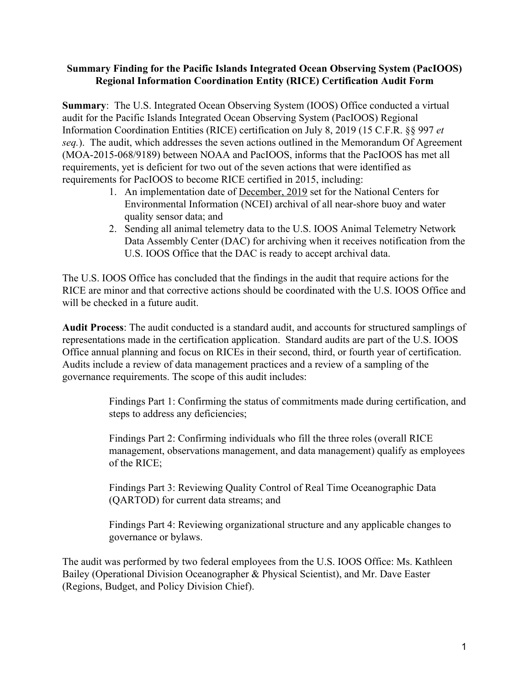### **Summary Finding for the Pacific Islands Integrated Ocean Observing System (PacIOOS) Regional Information Coordination Entity (RICE) Certification Audit Form**

**Summary:** The U.S. Integrated Ocean Observing System (IOOS) Office conducted a virtual audit for the Pacific Islands Integrated Ocean Observing System (PacIOOS) Regional Information Coordination Entities (RICE) certification on July 8, 2019 (15 C.F.R. §§ 997 *et seq.*). The audit, which addresses the seven actions outlined in the Memorandum Of Agreement (MOA-2015-068/9189) between NOAA and PacIOOS, informs that the PacIOOS has met all requirements, yet is deficient for two out of the seven actions that were identified as requirements for PacIOOS to become RICE certified in 2015, including:

- 1. An implementation date of December, 2019 set for the National Centers for Environmental Information (NCEI) archival of all near-shore buoy and water quality sensor data; and
- 2. Sending all animal telemetry data to the U.S. IOOS Animal Telemetry Network Data Assembly Center (DAC) for archiving when it receives notification from the U.S. IOOS Office that the DAC is ready to accept archival data.

The U.S. IOOS Office has concluded that the findings in the audit that require actions for the RICE are minor and that corrective actions should be coordinated with the U.S. IOOS Office and will be checked in a future audit.

**Audit Process**: The audit conducted is a standard audit, and accounts for structured samplings of representations made in the certification application. Standard audits are part of the U.S. IOOS Office annual planning and focus on RICEs in their second, third, or fourth year of certification. Audits include a review of data management practices and a review of a sampling of the governance requirements. The scope of this audit includes:

> Findings Part 1: Confirming the status of commitments made during certification, and steps to address any deficiencies;

> Findings Part 2: Confirming individuals who fill the three roles (overall RICE management, observations management, and data management) qualify as employees of the RICE;

Findings Part 3: Reviewing Quality Control of Real Time Oceanographic Data (QARTOD) for current data streams; and

Findings Part 4: Reviewing organizational structure and any applicable changes to governance or bylaws.

The audit was performed by two federal employees from the U.S. IOOS Office: Ms. Kathleen Bailey (Operational Division Oceanographer & Physical Scientist), and Mr. Dave Easter (Regions, Budget, and Policy Division Chief).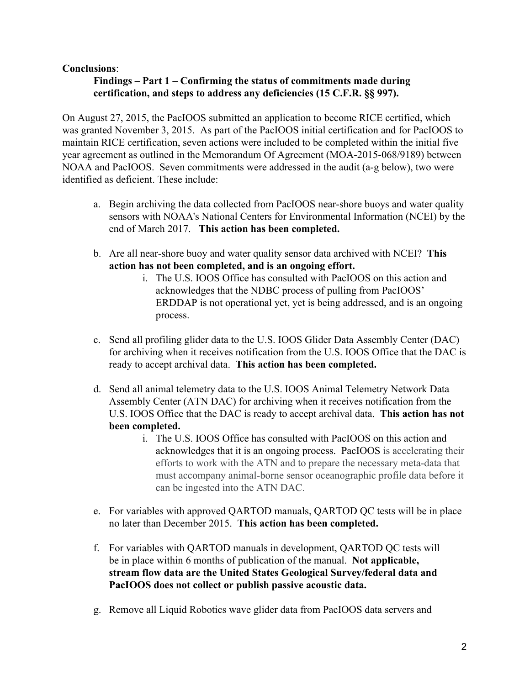### **Conclusions**:

### **Findings – Part 1 – Confirming the status of commitments made during certification, and steps to address any deficiencies (15 C.F.R. §§ 997).**

On August 27, 2015, the PacIOOS submitted an application to become RICE certified, which was granted November 3, 2015. As part of the PacIOOS initial certification and for PacIOOS to maintain RICE certification, seven actions were included to be completed within the initial five year agreement as outlined in the Memorandum Of Agreement (MOA-2015-068/9189) between NOAA and PacIOOS. Seven commitments were addressed in the audit (a-g below), two were identified as deficient. These include:

- a. Begin archiving the data collected from PacIOOS near-shore buoys and water quality sensors with NOAA's National Centers for Environmental Information (NCEI) by the end of March 2017. **This action has been completed.**
- b. Are all near-shore buoy and water quality sensor data archived with NCEI? **This action has not been completed, and is an ongoing effort.**
	- i. The U.S. IOOS Office has consulted with PacIOOS on this action and acknowledges that the NDBC process of pulling from PacIOOS' ERDDAP is not operational yet, yet is being addressed, and is an ongoing process.
- c. Send all profiling glider data to the U.S. IOOS Glider Data Assembly Center (DAC) for archiving when it receives notification from the U.S. IOOS Office that the DAC is ready to accept archival data. **This action has been completed.**
- d. Send all animal telemetry data to the U.S. IOOS Animal Telemetry Network Data Assembly Center (ATN DAC) for archiving when it receives notification from the U.S. IOOS Office that the DAC is ready to accept archival data. **This action has not been completed.**
	- i. The U.S. IOOS Office has consulted with PacIOOS on this action and acknowledges that it is an ongoing process. PacIOOS is accelerating their efforts to work with the ATN and to prepare the necessary meta-data that must accompany animal-borne sensor oceanographic profile data before it can be ingested into the ATN DAC.
- e. For variables with approved QARTOD manuals, QARTOD QC tests will be in place no later than December 2015. **This action has been completed.**
- f. For variables with QARTOD manuals in development, QARTOD QC tests will be in place within 6 months of publication of the manual. **Not applicable, stream flow data are the United States Geological Survey/federal data and PacIOOS does not collect or publish passive acoustic data.**
- g. Remove all Liquid Robotics wave glider data from PacIOOS data servers and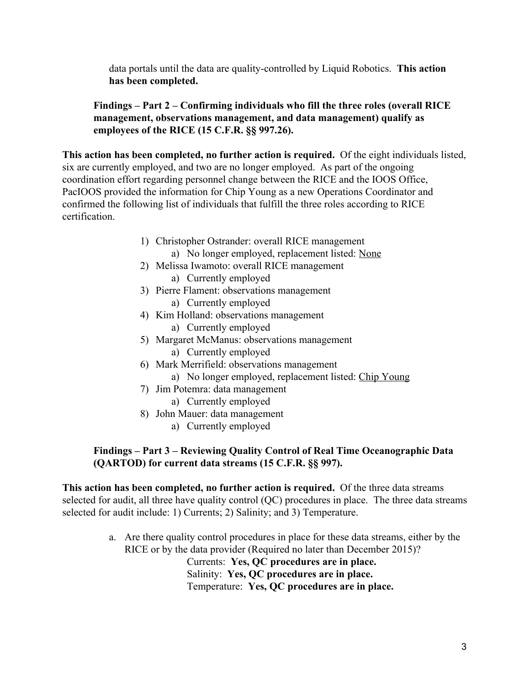data portals until the data are quality-controlled by Liquid Robotics. **This action has been completed.**

# **Findings – Part 2 – Confirming individuals who fill the three roles (overall RICE management, observations management, and data management) qualify as employees of the RICE (15 C.F.R. §§ 997.26).**

**This action has been completed, no further action is required.** Of the eight individuals listed, six are currently employed, and two are no longer employed. As part of the ongoing coordination effort regarding personnel change between the RICE and the IOOS Office, PacIOOS provided the information for Chip Young as a new Operations Coordinator and confirmed the following list of individuals that fulfill the three roles according to RICE certification.

- 1) Christopher Ostrander: overall RICE management a) No longer employed, replacement listed: None
- 2) Melissa Iwamoto: overall RICE management
	- a) Currently employed
- 3) Pierre Flament: observations management
	- a) Currently employed
- 4) Kim Holland: observations management
	- a) Currently employed
- 5) Margaret McManus: observations management
	- a) Currently employed
- 6) Mark Merrifield: observations management
	- a) No longer employed, replacement listed: Chip Young
- 7) Jim Potemra: data management
	- a) Currently employed
- 8) John Mauer: data management
	- a) Currently employed

# **Findings – Part 3 – Reviewing Quality Control of Real Time Oceanographic Data (QARTOD) for current data streams (15 C.F.R. §§ 997).**

**This action has been completed, no further action is required.** Of the three data streams selected for audit, all three have quality control (QC) procedures in place. The three data streams selected for audit include: 1) Currents; 2) Salinity; and 3) Temperature.

> a. Are there quality control procedures in place for these data streams, either by the RICE or by the data provider (Required no later than December 2015)? Currents: **Yes, QC procedures are in place.** Salinity: **Yes, QC procedures are in place.**

> > Temperature: **Yes, QC procedures are in place.**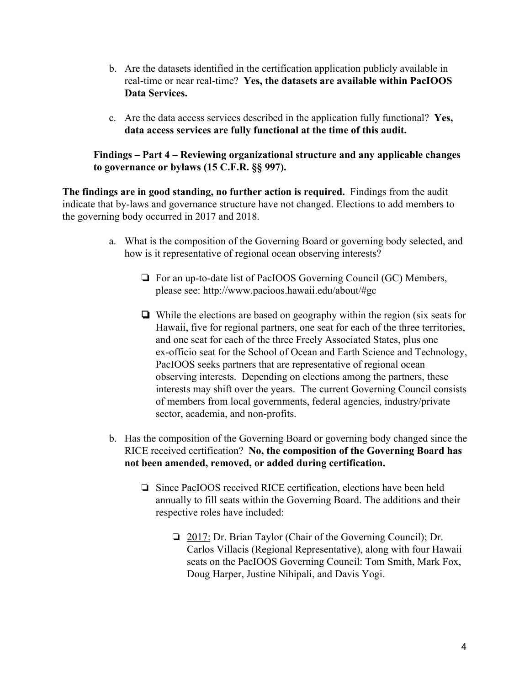- b. Are the datasets identified in the certification application publicly available in real-time or near real-time? **Yes, the datasets are available within PacIOOS Data Services.**
- c. Are the data access services described in the application fully functional? **Yes, data access services are fully functional at the time of this audit.**

**Findings – Part 4 – Reviewing organizational structure and any applicable changes to governance or bylaws (15 C.F.R. §§ 997).**

**The findings are in good standing, no further action is required.** Findings from the audit indicate that by-laws and governance structure have not changed. Elections to add members to the governing body occurred in 2017 and 2018.

- a. What is the composition of the Governing Board or governing body selected, and how is it representative of regional ocean observing interests?
	- ❏ For an up-to-date list of PacIOOS Governing Council (GC) Members, please see: http://www.pacioos.hawaii.edu/about/#gc
	- ❏ While the elections are based on geography within the region (six seats for Hawaii, five for regional partners, one seat for each of the three territories, and one seat for each of the three Freely Associated States, plus one ex-officio seat for the School of Ocean and Earth Science and Technology, PacIOOS seeks partners that are representative of regional ocean observing interests. Depending on elections among the partners, these interests may shift over the years. The current Governing Council consists of members from local governments, federal agencies, industry/private sector, academia, and non-profits.
- b. Has the composition of the Governing Board or governing body changed since the RICE received certification? **No, the composition of the Governing Board has not been amended, removed, or added during certification.**
	- ❏ Since PacIOOS received RICE certification, elections have been held annually to fill seats within the Governing Board. The additions and their respective roles have included:
		- ❏ 2017: Dr. Brian Taylor (Chair of the Governing Council); Dr. Carlos Villacis (Regional Representative), along with four Hawaii seats on the PacIOOS Governing Council: Tom Smith, Mark Fox, Doug Harper, Justine Nihipali, and Davis Yogi.